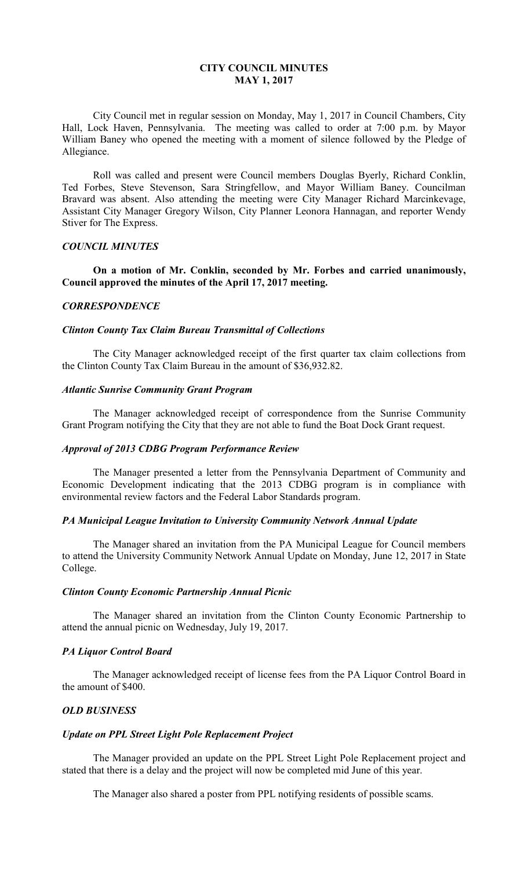## **CITY COUNCIL MINUTES MAY 1, 2017**

 City Council met in regular session on Monday, May 1, 2017 in Council Chambers, City Hall, Lock Haven, Pennsylvania. The meeting was called to order at 7:00 p.m. by Mayor William Baney who opened the meeting with a moment of silence followed by the Pledge of Allegiance.

 Roll was called and present were Council members Douglas Byerly, Richard Conklin, Ted Forbes, Steve Stevenson, Sara Stringfellow, and Mayor William Baney. Councilman Bravard was absent. Also attending the meeting were City Manager Richard Marcinkevage, Assistant City Manager Gregory Wilson, City Planner Leonora Hannagan, and reporter Wendy Stiver for The Express.

## *COUNCIL MINUTES*

 **On a motion of Mr. Conklin, seconded by Mr. Forbes and carried unanimously, Council approved the minutes of the April 17, 2017 meeting.** 

#### *CORRESPONDENCE*

### *Clinton County Tax Claim Bureau Transmittal of Collections*

 The City Manager acknowledged receipt of the first quarter tax claim collections from the Clinton County Tax Claim Bureau in the amount of \$36,932.82.

## *Atlantic Sunrise Community Grant Program*

 The Manager acknowledged receipt of correspondence from the Sunrise Community Grant Program notifying the City that they are not able to fund the Boat Dock Grant request.

#### *Approval of 2013 CDBG Program Performance Review*

 The Manager presented a letter from the Pennsylvania Department of Community and Economic Development indicating that the 2013 CDBG program is in compliance with environmental review factors and the Federal Labor Standards program.

#### *PA Municipal League Invitation to University Community Network Annual Update*

 The Manager shared an invitation from the PA Municipal League for Council members to attend the University Community Network Annual Update on Monday, June 12, 2017 in State College.

## *Clinton County Economic Partnership Annual Picnic*

 The Manager shared an invitation from the Clinton County Economic Partnership to attend the annual picnic on Wednesday, July 19, 2017.

### *PA Liquor Control Board*

 The Manager acknowledged receipt of license fees from the PA Liquor Control Board in the amount of \$400.

#### *OLD BUSINESS*

## *Update on PPL Street Light Pole Replacement Project*

 The Manager provided an update on the PPL Street Light Pole Replacement project and stated that there is a delay and the project will now be completed mid June of this year.

The Manager also shared a poster from PPL notifying residents of possible scams.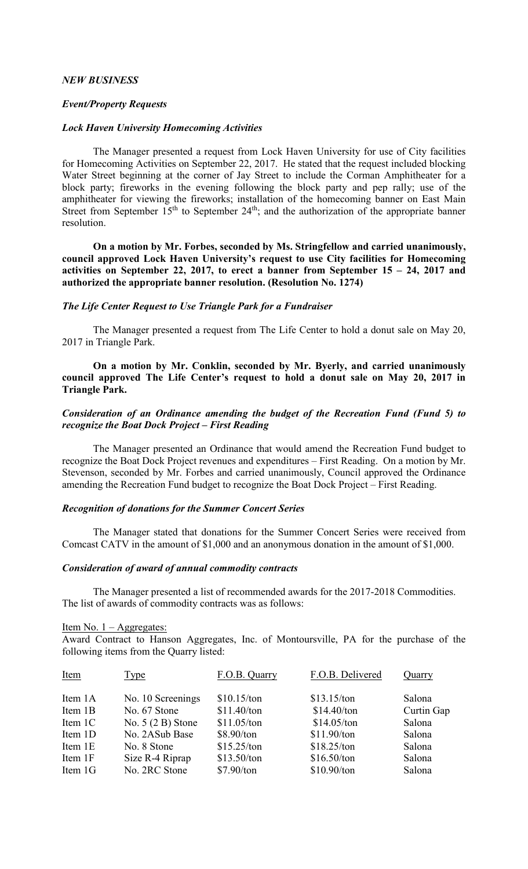## *NEW BUSINESS*

## *Event/Property Requests*

## *Lock Haven University Homecoming Activities*

 The Manager presented a request from Lock Haven University for use of City facilities for Homecoming Activities on September 22, 2017. He stated that the request included blocking Water Street beginning at the corner of Jay Street to include the Corman Amphitheater for a block party; fireworks in the evening following the block party and pep rally; use of the amphitheater for viewing the fireworks; installation of the homecoming banner on East Main Street from September  $15<sup>th</sup>$  to September  $24<sup>th</sup>$ ; and the authorization of the appropriate banner resolution.

 **On a motion by Mr. Forbes, seconded by Ms. Stringfellow and carried unanimously, council approved Lock Haven University's request to use City facilities for Homecoming activities on September 22, 2017, to erect a banner from September 15 – 24, 2017 and authorized the appropriate banner resolution. (Resolution No. 1274)** 

### *The Life Center Request to Use Triangle Park for a Fundraiser*

 The Manager presented a request from The Life Center to hold a donut sale on May 20, 2017 in Triangle Park.

 **On a motion by Mr. Conklin, seconded by Mr. Byerly, and carried unanimously council approved The Life Center's request to hold a donut sale on May 20, 2017 in Triangle Park.** 

# *Consideration of an Ordinance amending the budget of the Recreation Fund (Fund 5) to recognize the Boat Dock Project – First Reading*

 The Manager presented an Ordinance that would amend the Recreation Fund budget to recognize the Boat Dock Project revenues and expenditures – First Reading. On a motion by Mr. Stevenson, seconded by Mr. Forbes and carried unanimously, Council approved the Ordinance amending the Recreation Fund budget to recognize the Boat Dock Project – First Reading.

## *Recognition of donations for the Summer Concert Series*

 The Manager stated that donations for the Summer Concert Series were received from Comcast CATV in the amount of \$1,000 and an anonymous donation in the amount of \$1,000.

## *Consideration of award of annual commodity contracts*

 The Manager presented a list of recommended awards for the 2017-2018 Commodities. The list of awards of commodity contracts was as follows:

#### Item No.  $1 - \text{Aggregates:}$

Award Contract to Hanson Aggregates, Inc. of Montoursville, PA for the purchase of the following items from the Quarry listed:

| <b>Item</b> | Type               | F.O.B. Quarry | F.O.B. Delivered | Quarry     |
|-------------|--------------------|---------------|------------------|------------|
| Item 1A     | No. 10 Screenings  | \$10.15/ton   | \$13.15/ton      | Salona     |
| Item 1B     | No. 67 Stone       | \$11.40/ton   | \$14.40/ton      | Curtin Gap |
| Item 1C     | No. $5(2 B)$ Stone | \$11.05/ton   | \$14.05/ton      | Salona     |
| Item 1D     | No. 2ASub Base     | \$8.90/ton    | \$11.90/ton      | Salona     |
| Item 1E     | No. 8 Stone        | \$15.25/ton   | \$18.25/ton      | Salona     |
| Item 1F     | Size R-4 Riprap    | \$13.50/ton   | \$16.50/ton      | Salona     |
| Item 1G     | No. 2RC Stone      | \$7.90/ton    | $$10.90/t$ on    | Salona     |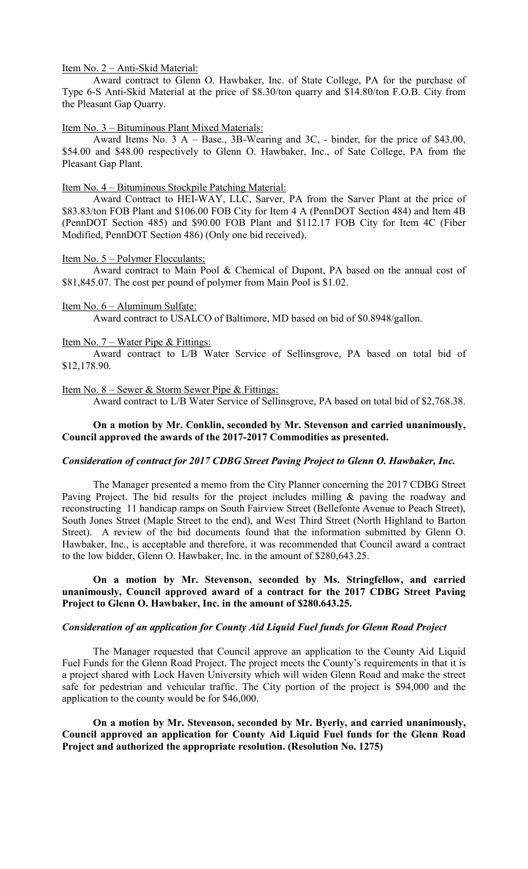Item No. 2 – Anti-Skid Material:

 Award contract to Glenn O. Hawbaker, Inc. of State College, PA for the purchase of Type 6-S Anti-Skid Material at the price of \$8.30/ton quarry and \$14.80/ton F.O.B. City from the Pleasant Gap Quarry.

Item No. 3 – Bituminous Plant Mixed Materials:

 Award Items No. 3 A – Base., 3B-Wearing and 3C, - binder, for the price of \$43.00, \$54.00 and \$48.00 respectively to Glenn O. Hawbaker, Inc., of Sate College, PA from the Pleasant Gap Plant.

### Item No. 4 – Bituminous Stockpile Patching Material:

 Award Contract to HEI-WAY, LLC, Sarver, PA from the Sarver Plant at the price of \$83.83/ton FOB Plant and \$106.00 FOB City for Item 4 A (PennDOT Section 484) and Item 4B (PennDOT Section 485) and \$90.00 FOB Plant and \$112.17 FOB City for Item 4C (Fiber Modified, PennDOT Section 486) (Only one bid received).

### Item No. 5 – Polymer Flocculants;

 Award contract to Main Pool & Chemical of Dupont, PA based on the annual cost of \$81,845.07. The cost per pound of polymer from Main Pool is \$1.02.

### Item No. 6 – Aluminum Sulfate:

Award contract to USALCO of Baltimore, MD based on bid of \$0.8948/gallon.

### Item No. 7 – Water Pipe & Fittings:

 Award contract to L/B Water Service of Sellinsgrove, PA based on total bid of \$12,178.90.

### Item No. 8 – Sewer & Storm Sewer Pipe & Fittings:

Award contract to L/B Water Service of Sellinsgrove, PA based on total bid of \$2,768.38.

## **On a motion by Mr. Conklin, seconded by Mr. Stevenson and carried unanimously, Council approved the awards of the 2017-2017 Commodities as presented.**

## *Consideration of contract for 2017 CDBG Street Paving Project to Glenn O. Hawbaker, Inc.*

 The Manager presented a memo from the City Planner concerning the 2017 CDBG Street Paving Project. The bid results for the project includes milling & paving the roadway and reconstructing 11 handicap ramps on South Fairview Street (Bellefonte Avenue to Peach Street), South Jones Street (Maple Street to the end), and West Third Street (North Highland to Barton Street). A review of the bid documents found that the information submitted by Glenn O. Hawbaker, Inc., is acceptable and therefore, it was recommended that Council award a contract to the low bidder, Glenn O. Hawbaker, Inc. in the amount of \$280,643.25.

# **On a motion by Mr. Stevenson, seconded by Ms. Stringfellow, and carried unanimously, Council approved award of a contract for the 2017 CDBG Street Paving Project to Glenn O. Hawbaker, Inc. in the amount of \$280.643.25.**

## *Consideration of an application for County Aid Liquid Fuel funds for Glenn Road Project*

 The Manager requested that Council approve an application to the County Aid Liquid Fuel Funds for the Glenn Road Project. The project meets the County's requirements in that it is a project shared with Lock Haven University which will widen Glenn Road and make the street safe for pedestrian and vehicular traffic. The City portion of the project is \$94,000 and the application to the county would be for \$46,000.

 **On a motion by Mr. Stevenson, seconded by Mr. Byerly, and carried unanimously, Council approved an application for County Aid Liquid Fuel funds for the Glenn Road Project and authorized the appropriate resolution. (Resolution No. 1275)**